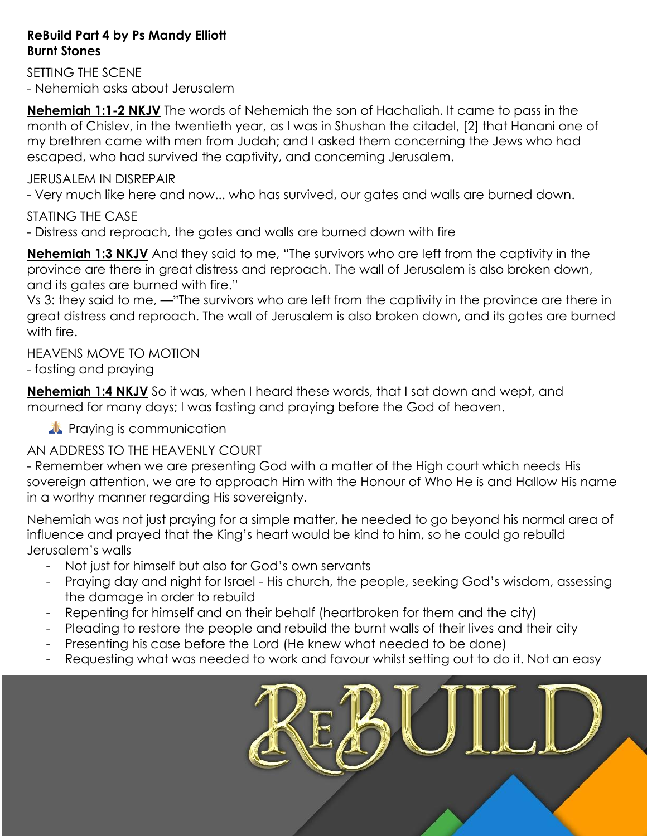### **ReBuild Part 4 by Ps Mandy Elliott Burnt Stones**

SETTING THE SCENE - Nehemiah asks about Jerusalem

**Nehemiah 1:1-2 NKJV** The words of Nehemiah the son of Hachaliah. It came to pass in the month of Chislev, in the twentieth year, as I was in Shushan the citadel, [2] that Hanani one of my brethren came with men from Judah; and I asked them concerning the Jews who had escaped, who had survived the captivity, and concerning Jerusalem.

## JERUSALEM IN DISREPAIR

- Very much like here and now... who has survived, our gates and walls are burned down.

# STATING THE CASE

- Distress and reproach, the gates and walls are burned down with fire

**Nehemiah 1:3 NKJV** And they said to me, "The survivors who are left from the captivity in the province are there in great distress and reproach. The wall of Jerusalem is also broken down, and its gates are burned with fire."

Vs 3: they said to me, —"The survivors who are left from the captivity in the province are there in great distress and reproach. The wall of Jerusalem is also broken down, and its gates are burned with fire.

HEAVENS MOVE TO MOTION

- fasting and praying

**Nehemiah 1:4 NKJV** So it was, when I heard these words, that I sat down and wept, and mourned for many days; I was fasting and praying before the God of heaven.

**A** Praying is communication

# AN ADDRESS TO THE HEAVENLY COURT

- Remember when we are presenting God with a matter of the High court which needs His sovereign attention, we are to approach Him with the Honour of Who He is and Hallow His name in a worthy manner regarding His sovereignty.

Nehemiah was not just praying for a simple matter, he needed to go beyond his normal area of influence and prayed that the King"s heart would be kind to him, so he could go rebuild Jerusalem"s walls

- Not just for himself but also for God"s own servants
- Praying day and night for Israel His church, the people, seeking God"s wisdom, assessing the damage in order to rebuild
- Repenting for himself and on their behalf (heartbroken for them and the city)
- Pleading to restore the people and rebuild the burnt walls of their lives and their city
- Presenting his case before the Lord (He knew what needed to be done)
- Requesting what was needed to work and favour whilst setting out to do it. Not an easy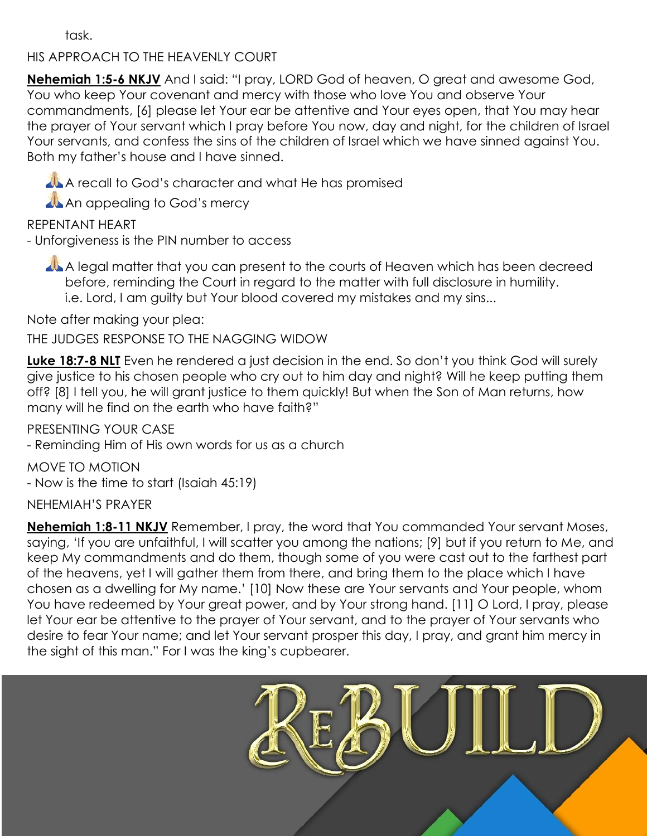task.

## HIS APPROACH TO THE HEAVENLY COURT

**Nehemiah 1:5-6 NKJV** And I said: "I pray, LORD God of heaven, O great and awesome God, You who keep Your covenant and mercy with those who love You and observe Your commandments, [6] please let Your ear be attentive and Your eyes open, that You may hear the prayer of Your servant which I pray before You now, day and night, for the children of Israel Your servants, and confess the sins of the children of Israel which we have sinned against You. Both my father"s house and I have sinned.

A recall to God's character and what He has promised

**AL An appealing to God's mercy** 

REPENTANT HEART

- Unforgiveness is the PIN number to access

A legal matter that you can present to the courts of Heaven which has been decreed before, reminding the Court in regard to the matter with full disclosure in humility. i.e. Lord, I am guilty but Your blood covered my mistakes and my sins...

Note after making your plea:

THE JUDGES RESPONSE TO THE NAGGING WIDOW

**Luke 18:7-8 NLT** Even he rendered a just decision in the end. So don't you think God will surely give justice to his chosen people who cry out to him day and night? Will he keep putting them off? [8] I tell you, he will grant justice to them quickly! But when the Son of Man returns, how many will he find on the earth who have faith?"

PRESENTING YOUR CASE

- Reminding Him of His own words for us as a church

MOVE TO MOTION - Now is the time to start (Isaiah 45:19)

## NEHEMIAH"S PRAYER

**Nehemiah 1:8-11 NKJV** Remember, I pray, the word that You commanded Your servant Moses, saying, "If you are unfaithful, I will scatter you among the nations; [9] but if you return to Me, and keep My commandments and do them, though some of you were cast out to the farthest part of the heavens, yet I will gather them from there, and bring them to the place which I have chosen as a dwelling for My name." [10] Now these are Your servants and Your people, whom You have redeemed by Your great power, and by Your strong hand. [11] O Lord, I pray, please let Your ear be attentive to the prayer of Your servant, and to the prayer of Your servants who desire to fear Your name; and let Your servant prosper this day, I pray, and grant him mercy in the sight of this man." For I was the king"s cupbearer.

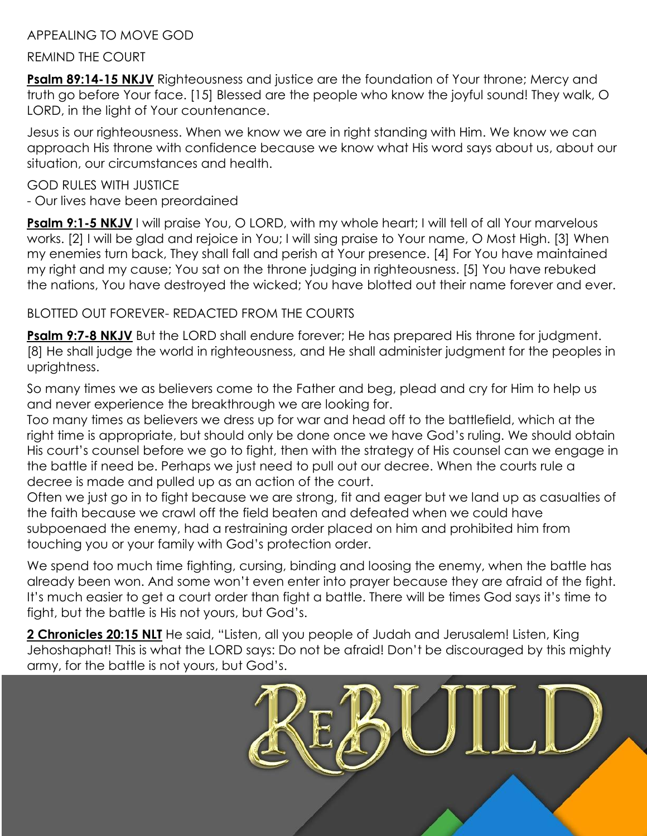## APPEALING TO MOVE GOD

#### REMIND THE COURT

**Psalm 89:14-15 NKJV** Righteousness and justice are the foundation of Your throne; Mercy and truth go before Your face. [15] Blessed are the people who know the joyful sound! They walk, O LORD, in the light of Your countenance.

Jesus is our righteousness. When we know we are in right standing with Him. We know we can approach His throne with confidence because we know what His word says about us, about our situation, our circumstances and health.

#### GOD RULES WITH JUSTICE

- Our lives have been preordained

**Psalm 9:1-5 NKJV** I will praise You, O LORD, with my whole heart; I will tell of all Your marvelous works. [2] I will be glad and rejoice in You; I will sing praise to Your name, O Most High. [3] When my enemies turn back, They shall fall and perish at Your presence. [4] For You have maintained my right and my cause; You sat on the throne judging in righteousness. [5] You have rebuked the nations, You have destroyed the wicked; You have blotted out their name forever and ever.

# BLOTTED OUT FOREVER- REDACTED FROM THE COURTS

**Psalm 9:7-8 NKJV** But the LORD shall endure forever; He has prepared His throne for judgment. [8] He shall judge the world in righteousness, and He shall administer judgment for the peoples in uprightness.

So many times we as believers come to the Father and beg, plead and cry for Him to help us and never experience the breakthrough we are looking for.

Too many times as believers we dress up for war and head off to the battlefield, which at the right time is appropriate, but should only be done once we have God"s ruling. We should obtain His court"s counsel before we go to fight, then with the strategy of His counsel can we engage in the battle if need be. Perhaps we just need to pull out our decree. When the courts rule a decree is made and pulled up as an action of the court.

Often we just go in to fight because we are strong, fit and eager but we land up as casualties of the faith because we crawl off the field beaten and defeated when we could have subpoenaed the enemy, had a restraining order placed on him and prohibited him from touching you or your family with God"s protection order.

We spend too much time fighting, cursing, binding and loosing the enemy, when the battle has already been won. And some won"t even enter into prayer because they are afraid of the fight. It"s much easier to get a court order than fight a battle. There will be times God says it"s time to fight, but the battle is His not yours, but God"s.

2 **Chronicles 20:15 NLT** He said, "Listen, all you people of Judah and Jerusalem! Listen, King Jehoshaphat! This is what the LORD says: Do not be afraid! Don"t be discouraged by this mighty army, for the battle is not yours, but God"s.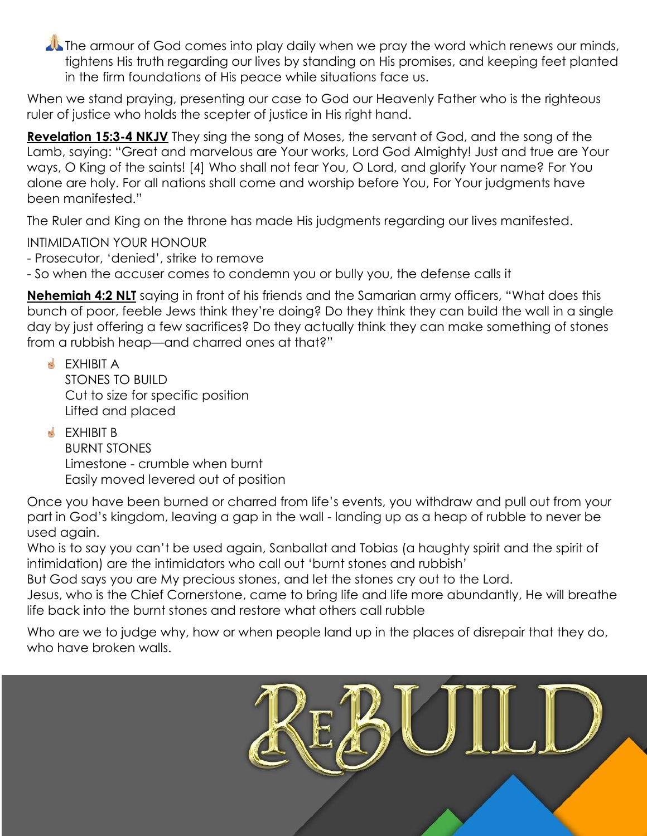**The armour of God comes into play daily when we pray the word which renews our minds,** tightens His truth regarding our lives by standing on His promises, and keeping feet planted in the firm foundations of His peace while situations face us.

When we stand praying, presenting our case to God our Heavenly Father who is the righteous ruler of justice who holds the scepter of justice in His right hand.

**Revelation 15:3-4 NKJV** They sing the song of Moses, the servant of God, and the song of the Lamb, saying: "Great and marvelous are Your works, Lord God Almighty! Just and true are Your ways, O King of the saints! [4] Who shall not fear You, O Lord, and glorify Your name? For You alone are holy. For all nations shall come and worship before You, For Your judgments have been manifested."

The Ruler and King on the throne has made His judgments regarding our lives manifested.

INTIMIDATION YOUR HONOUR

- Prosecutor, "denied", strike to remove
- So when the accuser comes to condemn you or bully you, the defense calls it

**Nehemiah 4:2 NLT** saying in front of his friends and the Samarian army officers, "What does this bunch of poor, feeble Jews think they"re doing? Do they think they can build the wall in a single day by just offering a few sacrifices? Do they actually think they can make something of stones from a rubbish heap—and charred ones at that?"

**S** FXHIBIT A STONES TO BUILD Cut to size for specific position Lifted and placed

**S** EXHIBIT B BURNT STONES Limestone - crumble when burnt Easily moved levered out of position

Once you have been burned or charred from life"s events, you withdraw and pull out from your part in God"s kingdom, leaving a gap in the wall - landing up as a heap of rubble to never be used again.

Who is to say you can't be used again, Sanballat and Tobias (a haughty spirit and the spirit of intimidation) are the intimidators who call out "burnt stones and rubbish"

But God says you are My precious stones, and let the stones cry out to the Lord.

Jesus, who is the Chief Cornerstone, came to bring life and life more abundantly, He will breathe life back into the burnt stones and restore what others call rubble

Who are we to judge why, how or when people land up in the places of disrepair that they do, who have broken walls.